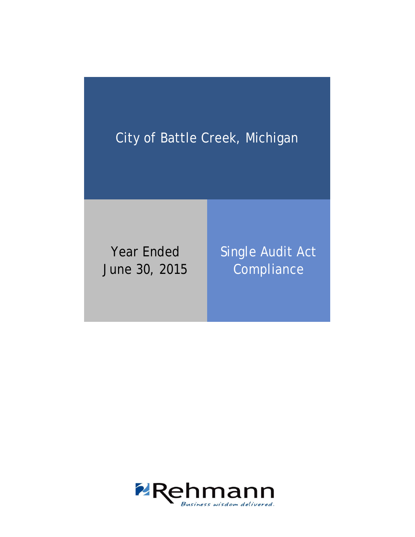# City of Battle Creek, Michigan

Year Ended June 30, 2015 Single Audit Act Compliance

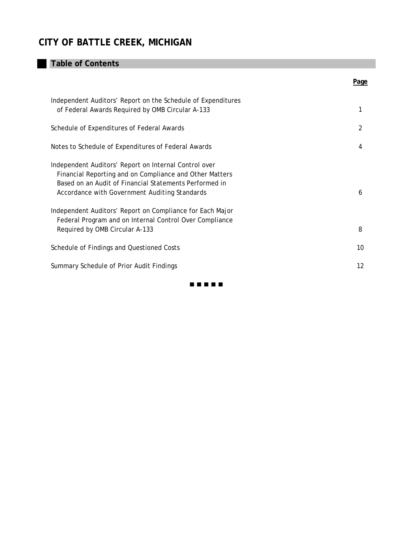## **Table of Contents**

|                                                                                                                                                                                                                             | Page |
|-----------------------------------------------------------------------------------------------------------------------------------------------------------------------------------------------------------------------------|------|
| Independent Auditors' Report on the Schedule of Expenditures<br>of Federal Awards Required by OMB Circular A-133                                                                                                            |      |
| Schedule of Expenditures of Federal Awards                                                                                                                                                                                  | 2    |
| Notes to Schedule of Expenditures of Federal Awards                                                                                                                                                                         | 4    |
| Independent Auditors' Report on Internal Control over<br>Financial Reporting and on Compliance and Other Matters<br>Based on an Audit of Financial Statements Performed in<br>Accordance with Government Auditing Standards | 6    |
| Independent Auditors' Report on Compliance for Each Major<br>Federal Program and on Internal Control Over Compliance<br>Required by OMB Circular A-133                                                                      | 8    |
| Schedule of Findings and Questioned Costs                                                                                                                                                                                   | 10   |
| Summary Schedule of Prior Audit Findings                                                                                                                                                                                    | 12   |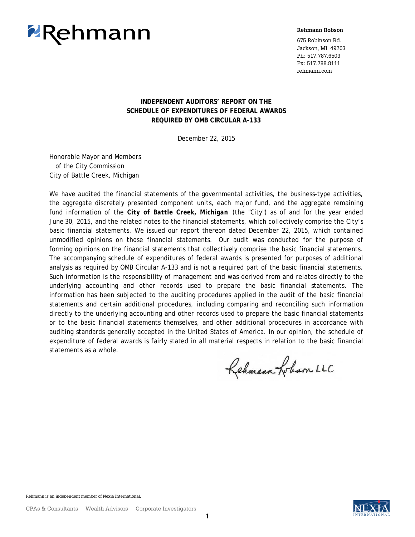

**Rehmann Robson**

675 Robinson Rd. Jackson, MI 49203 Ph: 517.787.6503 Fx: 517.788.8111 rehmann.com

## **INDEPENDENT AUDITORS' REPORT ON THE SCHEDULE OF EXPENDITURES OF FEDERAL AWARDS REQUIRED BY OMB CIRCULAR A-133**

December 22, 2015

 Honorable Mayor and Members of the City Commission City of Battle Creek, Michigan

We have audited the financial statements of the governmental activities, the business-type activities, the aggregate discretely presented component units, each major fund, and the aggregate remaining fund information of the *City of Battle Creek, Michigan* (the "City") as of and for the year ended June 30, 2015, and the related notes to the financial statements, which collectively comprise the City's basic financial statements. We issued our report thereon dated December 22, 2015, which contained unmodified opinions on those financial statements. Our audit was conducted for the purpose of forming opinions on the financial statements that collectively comprise the basic financial statements. The accompanying schedule of expenditures of federal awards is presented for purposes of additional analysis as required by OMB Circular A-133 and is not a required part of the basic financial statements. Such information is the responsibility of management and was derived from and relates directly to the underlying accounting and other records used to prepare the basic financial statements. The information has been subjected to the auditing procedures applied in the audit of the basic financial statements and certain additional procedures, including comparing and reconciling such information directly to the underlying accounting and other records used to prepare the basic financial statements or to the basic financial statements themselves, and other additional procedures in accordance with auditing standards generally accepted in the United States of America. In our opinion, the schedule of expenditure of federal awards is fairly stated in all material respects in relation to the basic financial statements as a whole.

Rehmann Lobam LLC

Rehmann is an independent member of Nexia International.

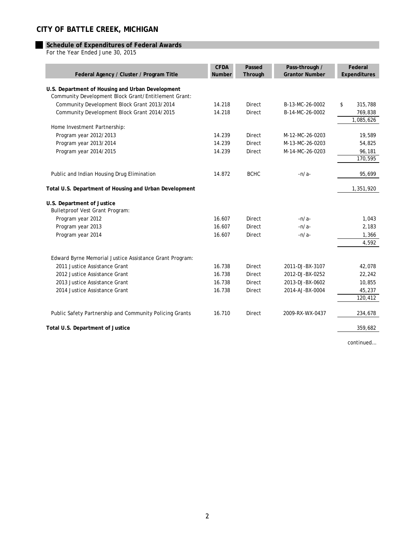### **Schedule of Expenditures of Federal Awards**

For the Year Ended June 30, 2015

|                                                         | <b>CFDA</b> | Passed      | Pass-through /        | Federal       |
|---------------------------------------------------------|-------------|-------------|-----------------------|---------------|
| Federal Agency / Cluster / Program Title                | Number      | Through     | <b>Grantor Number</b> | Expenditures  |
| U.S. Department of Housing and Urban Development        |             |             |                       |               |
| Community Development Block Grant/Entitlement Grant:    |             |             |                       |               |
| Community Development Block Grant 2013/2014             | 14.218      | Direct      | B-13-MC-26-0002       | \$<br>315,788 |
| Community Development Block Grant 2014/2015             | 14.218      | Direct      | B-14-MC-26-0002       | 769,838       |
|                                                         |             |             |                       | 1,085,626     |
| Home Investment Partnership:                            |             |             |                       |               |
| Program year 2012/2013                                  | 14.239      | Direct      | M-12-MC-26-0203       | 19,589        |
| Program year 2013/2014                                  | 14.239      | Direct      | M-13-MC-26-0203       | 54,825        |
| Program year 2014/2015                                  | 14.239      | Direct      | M-14-MC-26-0203       | 96,181        |
|                                                         |             |             |                       | 170,595       |
|                                                         |             |             |                       |               |
| Public and Indian Housing Drug Elimination              | 14.872      | <b>BCHC</b> | $-n/a-$               | 95,699        |
| Total U.S. Department of Housing and Urban Development  |             |             |                       | 1,351,920     |
| U.S. Department of Justice                              |             |             |                       |               |
| <b>Bulletproof Vest Grant Program:</b>                  |             |             |                       |               |
| Program year 2012                                       | 16.607      | Direct      | $-n/a-$               | 1,043         |
| Program year 2013                                       | 16.607      | Direct      | $-n/a-$               | 2,183         |
| Program year 2014                                       | 16.607      | Direct      | $-n/a-$               | 1,366         |
|                                                         |             |             |                       | 4,592         |
| Edward Byrne Memorial Justice Assistance Grant Program: |             |             |                       |               |
| 2011 Justice Assistance Grant                           | 16.738      | Direct      | 2011-DJ-BX-3107       | 42,078        |
| 2012 Justice Assistance Grant                           | 16.738      | Direct      | 2012-DJ-BX-0252       | 22,242        |
| 2013 Justice Assistance Grant                           | 16.738      | Direct      | 2013-DJ-BX-0602       | 10,855        |
| 2014 Justice Assistance Grant                           | 16.738      | Direct      | 2014-AJ-BX-0004       | 45,237        |
|                                                         |             |             |                       | 120,412       |
| Public Safety Partnership and Community Policing Grants | 16.710      | Direct      | 2009-RX-WX-0437       | 234,678       |
| Total U.S. Department of Justice                        |             |             |                       | 359,682       |

continued…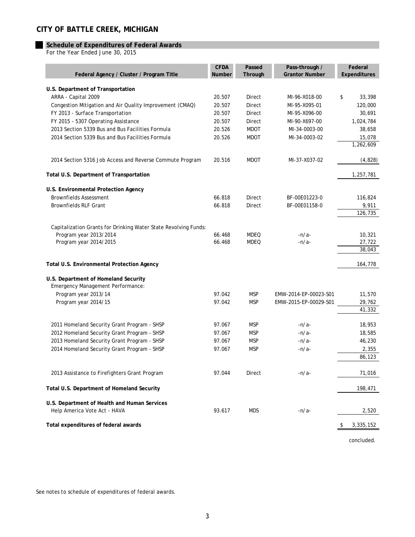## **Schedule of Expenditures of Federal Awards**

For the Year Ended June 30, 2015

I

| Federal Agency / Cluster / Program Title                        | <b>CFDA</b><br>Number | Passed<br>Through | Pass-through /<br><b>Grantor Number</b> | Federal<br>Expenditures |
|-----------------------------------------------------------------|-----------------------|-------------------|-----------------------------------------|-------------------------|
| U.S. Department of Transportation                               |                       |                   |                                         |                         |
| ARRA - Capital 2009                                             | 20.507                | Direct            | MI-96-X018-00                           | 33,398<br>\$            |
| Congestion Mitigation and Air Quality Improvement (CMAQ)        | 20.507                | Direct            | MI-95-X095-01                           | 120,000                 |
| FY 2013 - Surface Transportation                                | 20.507                | Direct            | MI-95-X096-00                           | 30,691                  |
| FY 2015 - 5307 Operating Assistance                             | 20.507                | Direct            | MI-90-X697-00                           | 1,024,784               |
| 2013 Section 5339 Bus and Bus Facilities Formula                | 20.526                | <b>MDOT</b>       | MI-34-0003-00                           | 38,658                  |
| 2014 Section 5339 Bus and Bus Facilities Formula                | 20.526                | <b>MDOT</b>       | MI-34-0003-02                           | 15,078                  |
|                                                                 |                       |                   |                                         | 1,262,609               |
| 2014 Section 5316 Job Access and Reverse Commute Program        | 20.516                | MDOT              | MI-37-X037-02                           | (4, 828)                |
| Total U.S. Department of Transportation                         |                       |                   |                                         | 1,257,781               |
| U.S. Environmental Protection Agency                            |                       |                   |                                         |                         |
| <b>Brownfields Assessment</b>                                   | 66.818                | Direct            | BF-00E01223-0                           | 116,824                 |
| <b>Brownfields RLF Grant</b>                                    | 66.818                | Direct            | BF-00E01158-0                           | 9,911                   |
|                                                                 |                       |                   |                                         | 126,735                 |
|                                                                 |                       |                   |                                         |                         |
| Capitalization Grants for Drinking Water State Revolving Funds: |                       |                   |                                         |                         |
| Program year 2013/2014                                          | 66.468                | <b>MDEQ</b>       | $-n/a-$                                 | 10,321                  |
| Program year 2014/2015                                          | 66.468                | <b>MDEQ</b>       | $-n/a-$                                 | 27,722                  |
|                                                                 |                       |                   |                                         | 38,043                  |
| Total U.S. Environmental Protection Agency                      |                       |                   |                                         | 164,778                 |
| U.S. Department of Homeland Security                            |                       |                   |                                         |                         |
| Emergency Management Performance:                               |                       |                   |                                         |                         |
| Program year 2013/14                                            | 97.042                | <b>MSP</b>        | EMW-2014-EP-00023-S01                   | 11,570                  |
| Program year 2014/15                                            | 97.042                | <b>MSP</b>        | EMW-2015-EP-00029-S01                   | 29,762                  |
|                                                                 |                       |                   |                                         | 41,332                  |
| 2011 Homeland Security Grant Program - SHSP                     | 97.067                | <b>MSP</b>        | $-n/a-$                                 | 18,953                  |
| 2012 Homeland Security Grant Program - SHSP                     | 97.067                | <b>MSP</b>        | $-n/a-$                                 | 18,585                  |
| 2013 Homeland Security Grant Program - SHSP                     | 97.067                | <b>MSP</b>        | $-n/a-$                                 | 46,230                  |
| 2014 Homeland Security Grant Program - SHSP                     | 97.067                | <b>MSP</b>        | $-n/a-$                                 | 2,355                   |
|                                                                 |                       |                   |                                         | 86,123                  |
|                                                                 |                       |                   |                                         |                         |
| 2013 Assistance to Firefighters Grant Program                   | 97.044                | Direct            | $-n/a-$                                 | 71,016                  |
| Total U.S. Department of Homeland Security                      |                       |                   |                                         | 198,471                 |
| U.S. Department of Health and Human Services                    |                       |                   |                                         |                         |
| Help America Vote Act - HAVA                                    | 93.617                | <b>MDS</b>        | $-n/a-$                                 | 2,520                   |
|                                                                 |                       |                   |                                         |                         |
| Total expenditures of federal awards                            |                       |                   |                                         | 3,335,152<br>\$         |
|                                                                 |                       |                   |                                         |                         |

concluded.

See notes to schedule of expenditures of federal awards.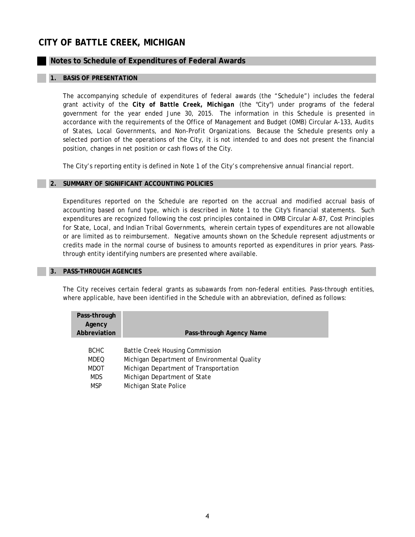## **Notes to Schedule of Expenditures of Federal Awards**

## **1. BASIS OF PRESENTATION**

The accompanying schedule of expenditures of federal awards (the "Schedule") includes the federal grant activity of the *City of Battle Creek, Michigan* (the "City") under programs of the federal government for the year ended June 30, 2015. The information in this Schedule is presented in accordance with the requirements of the Office of Management and Budget (OMB) Circular A-133, *Audits of States, Local Governments, and Non-Profit Organizations.* Because the Schedule presents only a selected portion of the operations of the City, it is not intended to and does not present the financial position, changes in net position or cash flows of the City.

The City's reporting entity is defined in Note 1 of the City's comprehensive annual financial report.

### **2. SUMMARY OF SIGNIFICANT ACCOUNTING POLICIES**

Expenditures reported on the Schedule are reported on the accrual and modified accrual basis of accounting based on fund type, which is described in Note 1 to the City's financial statements. Such expenditures are recognized following the cost principles contained in OMB Circular A-87, *Cost Principles for State, Local, and Indian Tribal Governments,* wherein certain types of expenditures are not allowable or are limited as to reimbursement. Negative amounts shown on the Schedule represent adjustments or credits made in the normal course of business to amounts reported as expenditures in prior years. Passthrough entity identifying numbers are presented where available.

### **3. PASS-THROUGH AGENCIES**

The City receives certain federal grants as subawards from non-federal entities. Pass-through entities, where applicable, have been identified in the Schedule with an abbreviation, defined as follows:

| Pass-through<br>Agency<br>Abbreviation | Pass-through Agency Name                     |
|----------------------------------------|----------------------------------------------|
|                                        |                                              |
| <b>BCHC</b>                            | <b>Battle Creek Housing Commission</b>       |
| <b>MDEO</b>                            | Michigan Department of Environmental Quality |
| <b>MDOT</b>                            | Michigan Department of Transportation        |
| <b>MDS</b>                             | Michigan Department of State                 |
| <b>MSP</b>                             | Michigan State Police                        |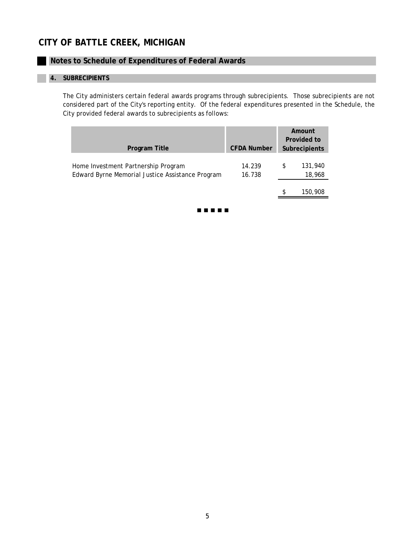## **Notes to Schedule of Expenditures of Federal Awards**

## **4. SUBRECIPIENTS**

The City administers certain federal awards programs through subrecipients. Those subrecipients are not considered part of the City's reporting entity. Of the federal expenditures presented in the Schedule, the City provided federal awards to subrecipients as follows:

| Program Title                                                                           | <b>CFDA Number</b> | Amount<br>Provided to<br>Subrecipients |                   |
|-----------------------------------------------------------------------------------------|--------------------|----------------------------------------|-------------------|
| Home Investment Partnership Program<br>Edward Byrne Memorial Justice Assistance Program | 14.239<br>16.738   | \$                                     | 131,940<br>18,968 |
|                                                                                         |                    | \$                                     | 150,908           |
|                                                                                         |                    |                                        |                   |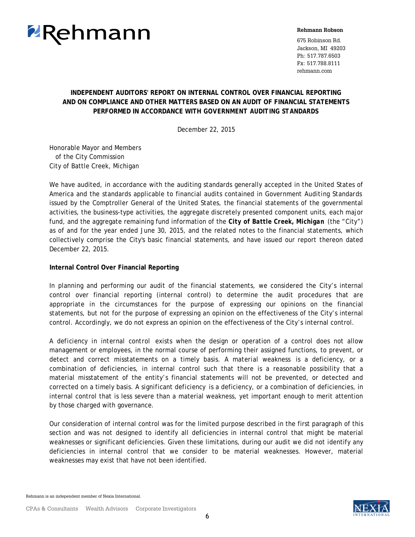

**Rehmann Robson**

675 Robinson Rd. Jackson, MI 49203 Ph: 517.787.6503 Fx: 517.788.8111 rehmann.com

## **INDEPENDENT AUDITORS' REPORT ON INTERNAL CONTROL OVER FINANCIAL REPORTING AND ON COMPLIANCE AND OTHER MATTERS BASED ON AN AUDIT OF FINANCIAL STATEMENTS PERFORMED IN ACCORDANCE WITH** *GOVERNMENT AUDITING STANDARDS*

December 22, 2015

 Honorable Mayor and Members of the City Commission City of Battle Creek, Michigan

We have audited, in accordance with the auditing standards generally accepted in the United States of America and the standards applicable to financial audits contained in *Government Auditing Standards* issued by the Comptroller General of the United States, the financial statements of the governmental activities, the business-type activities, the aggregate discretely presented component units, each major fund, and the aggregate remaining fund information of the *City of Battle Creek, Michigan* (the "City") as of and for the year ended June 30, 2015, and the related notes to the financial statements, which collectively comprise the City's basic financial statements, and have issued our report thereon dated December 22, 2015.

## **Internal Control Over Financial Reporting**

In planning and performing our audit of the financial statements, we considered the City's internal control over financial reporting (internal control) to determine the audit procedures that are appropriate in the circumstances for the purpose of expressing our opinions on the financial statements, but not for the purpose of expressing an opinion on the effectiveness of the City's internal control. Accordingly, we do not express an opinion on the effectiveness of the City's internal control.

A *deficiency in internal control* exists when the design or operation of a control does not allow management or employees, in the normal course of performing their assigned functions, to prevent, or detect and correct misstatements on a timely basis. A *material weakness* is a deficiency, or a combination of deficiencies, in internal control such that there is a reasonable possibility that a material misstatement of the entity's financial statements will not be prevented, or detected and corrected on a timely basis. A *significant deficiency* is a deficiency, or a combination of deficiencies, in internal control that is less severe than a material weakness, yet important enough to merit attention by those charged with governance.

Our consideration of internal control was for the limited purpose described in the first paragraph of this section and was not designed to identify all deficiencies in internal control that might be material weaknesses or significant deficiencies. Given these limitations, during our audit we did not identify any deficiencies in internal control that we consider to be material weaknesses. However, material weaknesses may exist that have not been identified.

Rehmann is an independent member of Nexia International.

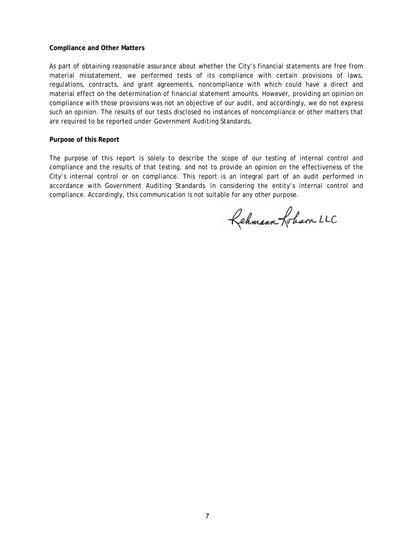### **Compliance and Other Matters**

As part of obtaining reasonable assurance about whether the City's financial statements are free from material misstatement, we performed tests of its compliance with certain provisions of laws, regulations, contracts, and grant agreements, noncompliance with which could have a direct and material effect on the determination of financial statement amounts. However, providing an opinion on compliance with those provisions was not an objective of our audit, and accordingly, we do not express such an opinion. The results of our tests disclosed no instances of noncompliance or other matters that are required to be reported under *Government Auditing Standards.*

### **Purpose of this Report**

The purpose of this report is solely to describe the scope of our testing of internal control and compliance and the results of that testing, and not to provide an opinion on the effectiveness of the City's internal control or on compliance. This report is an integral part of an audit performed in accordance with *Government Auditing Standards* in considering the entity's internal control and compliance. Accordingly, this communication is not suitable for any other purpose.

Rehmann Loham LLC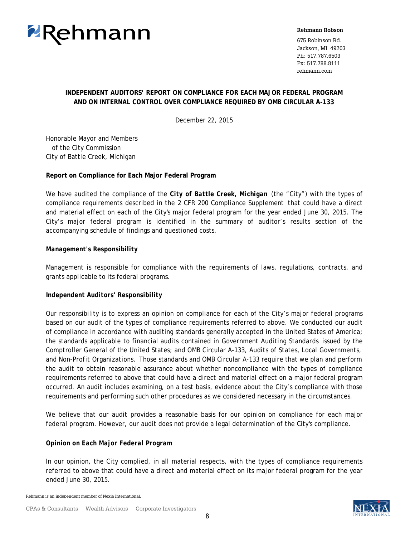

#### **Rehmann Robson**

675 Robinson Rd. Jackson, MI 49203 Ph: 517.787.6503 Fx: 517.788.8111 rehmann.com

## **INDEPENDENT AUDITORS' REPORT ON COMPLIANCE FOR EACH MAJOR FEDERAL PROGRAM AND ON INTERNAL CONTROL OVER COMPLIANCE REQUIRED BY OMB CIRCULAR A-133**

December 22, 2015

 of the City Commission Honorable Mayor and Members City of Battle Creek, Michigan

## **Report on Compliance for Each Major Federal Program**

We have audited the compliance of the *City of Battle Creek, Michigan* (the "City") with the types of compliance requirements described in the *2 CFR 200 Compliance Supplement* that could have a direct and material effect on each of the City's major federal program for the year ended June 30, 2015. The City's major federal program is identified in the summary of auditor's results section of the accompanying schedule of findings and questioned costs.

## *Management's Responsibility*

Management is responsible for compliance with the requirements of laws, regulations, contracts, and grants applicable to its federal programs.

## *Independent Auditors' Responsibility*

Our responsibility is to express an opinion on compliance for each of the City's major federal programs based on our audit of the types of compliance requirements referred to above. We conducted our audit of compliance in accordance with auditing standards generally accepted in the United States of America; the standards applicable to financial audits contained in *Government Auditing Standards* issued by the Comptroller General of the United States; and OMB Circular A-133, *Audits of States, Local Governments, and Non-Profit Organizations.* Those standards and OMB Circular A-133 require that we plan and perform the audit to obtain reasonable assurance about whether noncompliance with the types of compliance requirements referred to above that could have a direct and material effect on a major federal program occurred. An audit includes examining, on a test basis, evidence about the City's compliance with those requirements and performing such other procedures as we considered necessary in the circumstances.

We believe that our audit provides a reasonable basis for our opinion on compliance for each major federal program. However, our audit does not provide a legal determination of the City's compliance.

## *Opinion on Each Major Federal Program*

In our opinion, the City complied, in all material respects, with the types of compliance requirements referred to above that could have a direct and material effect on its major federal program for the year ended June 30, 2015.

Rehmann is an independent member of Nexia International.

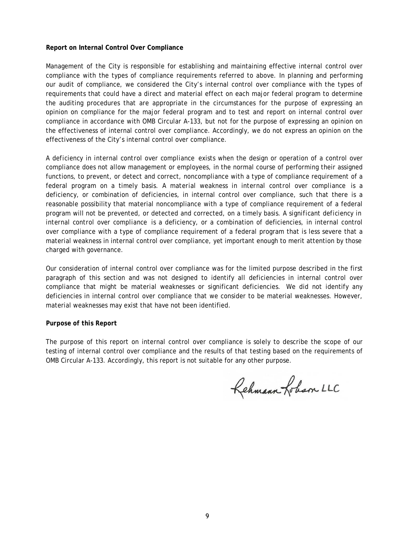### **Report on Internal Control Over Compliance**

Management of the City is responsible for establishing and maintaining effective internal control over compliance with the types of compliance requirements referred to above. In planning and performing our audit of compliance, we considered the City's internal control over compliance with the types of requirements that could have a direct and material effect on each major federal program to determine the auditing procedures that are appropriate in the circumstances for the purpose of expressing an opinion on compliance for the major federal program and to test and report on internal control over compliance in accordance with OMB Circular A-133, but not for the purpose of expressing an opinion on the effectiveness of internal control over compliance. Accordingly, we do not express an opinion on the effectiveness of the City's internal control over compliance.

A *deficiency in internal control over compliance* exists when the design or operation of a control over compliance does not allow management or employees, in the normal course of performing their assigned functions, to prevent, or detect and correct, noncompliance with a type of compliance requirement of a federal program on a timely basis. A *material weakness in internal control over compliance* is a deficiency, or combination of deficiencies, in internal control over compliance, such that there is a reasonable possibility that material noncompliance with a type of compliance requirement of a federal program will not be prevented, or detected and corrected, on a timely basis. A *significant deficiency in internal control over compliance* is a deficiency, or a combination of deficiencies, in internal control over compliance with a type of compliance requirement of a federal program that is less severe that a material weakness in internal control over compliance, yet important enough to merit attention by those charged with governance.

Our consideration of internal control over compliance was for the limited purpose described in the first paragraph of this section and was not designed to identify all deficiencies in internal control over compliance that might be material weaknesses or significant deficiencies. We did not identify any deficiencies in internal control over compliance that we consider to be material weaknesses. However, material weaknesses may exist that have not been identified.

## *Purpose of this Report*

The purpose of this report on internal control over compliance is solely to describe the scope of our testing of internal control over compliance and the results of that testing based on the requirements of OMB Circular A-133. Accordingly, this report is not suitable for any other purpose.

Rehmann Lobson LLC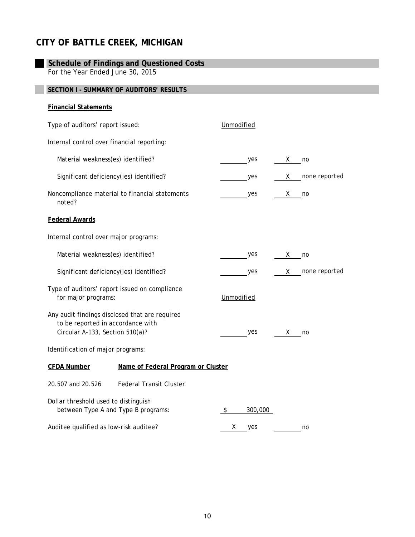For the Year Ended June 30, 2015

**Schedule of Findings and Questioned Costs**

|                                                                                                                        | SECTION I - SUMMARY OF AUDITORS' RESULTS       |               |                     |
|------------------------------------------------------------------------------------------------------------------------|------------------------------------------------|---------------|---------------------|
| <b>Financial Statements</b>                                                                                            |                                                |               |                     |
| Type of auditors' report issued:                                                                                       |                                                | Unmodified    |                     |
| Internal control over financial reporting:                                                                             |                                                |               |                     |
| Material weakness(es) identified?                                                                                      |                                                | yes           | X<br>no             |
|                                                                                                                        | Significant deficiency(ies) identified?        | yes           | none reported<br>X. |
| noted?                                                                                                                 | Noncompliance material to financial statements | yes           | X —<br>no           |
| <b>Federal Awards</b>                                                                                                  |                                                |               |                     |
| Internal control over major programs:                                                                                  |                                                |               |                     |
| Material weakness(es) identified?                                                                                      |                                                | yes           | X.<br>no            |
|                                                                                                                        | Significant deficiency(ies) identified?        | yes           | none reported<br>X  |
| for major programs:                                                                                                    | Type of auditors' report issued on compliance  | Unmodified    |                     |
| Any audit findings disclosed that are required<br>to be reported in accordance with<br>Circular A-133, Section 510(a)? |                                                | yes           | X<br>no             |
| Identification of major programs:                                                                                      |                                                |               |                     |
| <b>CFDA Number</b>                                                                                                     | Name of Federal Program or Cluster             |               |                     |
| 20.507 and 20.526                                                                                                      | <b>Federal Transit Cluster</b>                 |               |                     |
| Dollar threshold used to distinguish                                                                                   | between Type A and Type B programs:            | 300,000<br>\$ |                     |
| Auditee qualified as low-risk auditee?                                                                                 |                                                | X<br>yes      | no                  |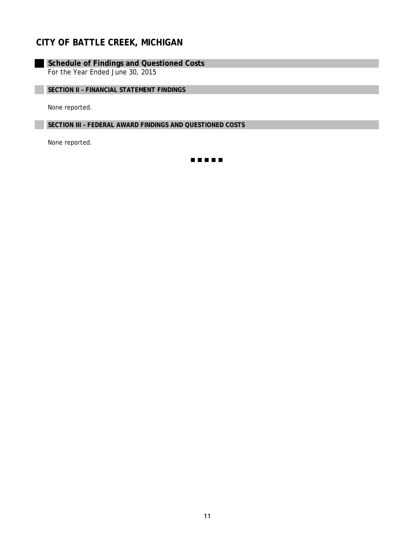## **Schedule of Findings and Questioned Costs**

For the Year Ended June 30, 2015

## **SECTION II – FINANCIAL STATEMENT FINDINGS**

None reported.

## **SECTION III – FEDERAL AWARD FINDINGS AND QUESTIONED COSTS**

None reported.

.....